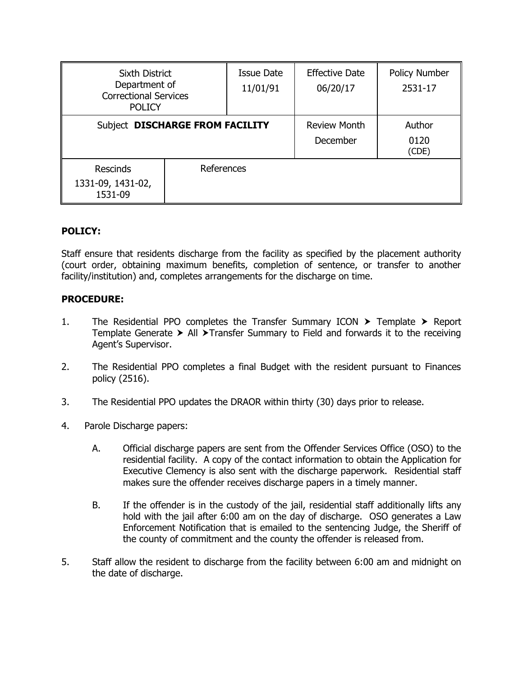| Sixth District<br>Department of<br><b>Correctional Services</b><br><b>POLICY</b> |            | <b>Issue Date</b><br>11/01/91 | <b>Effective Date</b><br>06/20/17 | Policy Number<br>2531-17 |
|----------------------------------------------------------------------------------|------------|-------------------------------|-----------------------------------|--------------------------|
| Subject DISCHARGE FROM FACILITY                                                  |            |                               | <b>Review Month</b><br>December   | Author<br>0120<br>(CDE)  |
| <b>Rescinds</b><br>1331-09, 1431-02,<br>1531-09                                  | References |                               |                                   |                          |

## **POLICY:**

Staff ensure that residents discharge from the facility as specified by the placement authority (court order, obtaining maximum benefits, completion of sentence, or transfer to another facility/institution) and, completes arrangements for the discharge on time.

## **PROCEDURE:**

- 1. The Residential PPO completes the Transfer Summary ICON  $\triangleright$  Template  $\triangleright$  Report Template Generate  $\triangleright$  All  $\triangleright$  Transfer Summary to Field and forwards it to the receiving Agent's Supervisor.
- 2. The Residential PPO completes a final Budget with the resident pursuant to Finances policy (2516).
- 3. The Residential PPO updates the DRAOR within thirty (30) days prior to release.
- 4. Parole Discharge papers:
	- A. Official discharge papers are sent from the Offender Services Office (OSO) to the residential facility. A copy of the contact information to obtain the Application for Executive Clemency is also sent with the discharge paperwork. Residential staff makes sure the offender receives discharge papers in a timely manner.
	- B. If the offender is in the custody of the jail, residential staff additionally lifts any hold with the jail after 6:00 am on the day of discharge. OSO generates a Law Enforcement Notification that is emailed to the sentencing Judge, the Sheriff of the county of commitment and the county the offender is released from.
- 5. Staff allow the resident to discharge from the facility between 6:00 am and midnight on the date of discharge.